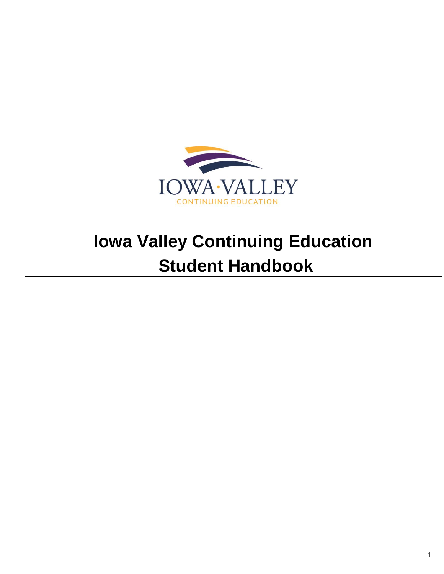

# **Iowa Valley Continuing Education Student Handbook**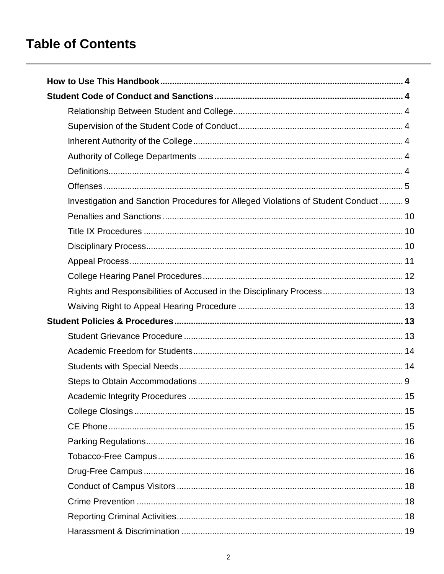# **Table of Contents**

|  | Investigation and Sanction Procedures for Alleged Violations of Student Conduct  9 |  |
|--|------------------------------------------------------------------------------------|--|
|  |                                                                                    |  |
|  |                                                                                    |  |
|  |                                                                                    |  |
|  |                                                                                    |  |
|  |                                                                                    |  |
|  | Rights and Responsibilities of Accused in the Disciplinary Process 13              |  |
|  |                                                                                    |  |
|  |                                                                                    |  |
|  |                                                                                    |  |
|  |                                                                                    |  |
|  |                                                                                    |  |
|  |                                                                                    |  |
|  |                                                                                    |  |
|  |                                                                                    |  |
|  |                                                                                    |  |
|  |                                                                                    |  |
|  |                                                                                    |  |
|  |                                                                                    |  |
|  |                                                                                    |  |
|  |                                                                                    |  |
|  |                                                                                    |  |
|  |                                                                                    |  |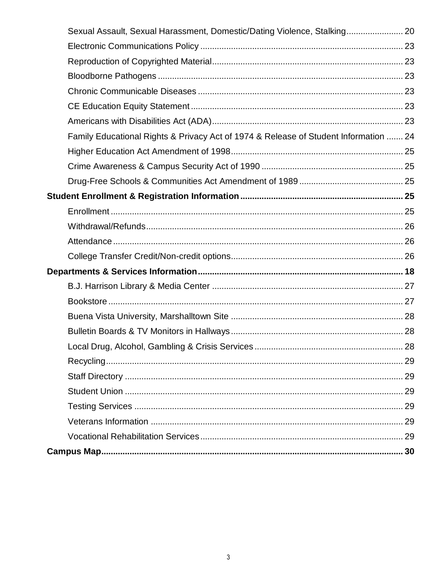<span id="page-2-0"></span>

|  | Sexual Assault, Sexual Harassment, Domestic/Dating Violence, Stalking 20             |  |
|--|--------------------------------------------------------------------------------------|--|
|  |                                                                                      |  |
|  |                                                                                      |  |
|  |                                                                                      |  |
|  |                                                                                      |  |
|  |                                                                                      |  |
|  |                                                                                      |  |
|  | Family Educational Rights & Privacy Act of 1974 & Release of Student Information  24 |  |
|  |                                                                                      |  |
|  |                                                                                      |  |
|  |                                                                                      |  |
|  |                                                                                      |  |
|  |                                                                                      |  |
|  |                                                                                      |  |
|  |                                                                                      |  |
|  |                                                                                      |  |
|  |                                                                                      |  |
|  |                                                                                      |  |
|  |                                                                                      |  |
|  |                                                                                      |  |
|  |                                                                                      |  |
|  |                                                                                      |  |
|  | Local Drug, Alcohol, Gambling & Crisis Services<br>28                                |  |
|  |                                                                                      |  |
|  |                                                                                      |  |
|  |                                                                                      |  |
|  |                                                                                      |  |
|  |                                                                                      |  |
|  |                                                                                      |  |
|  |                                                                                      |  |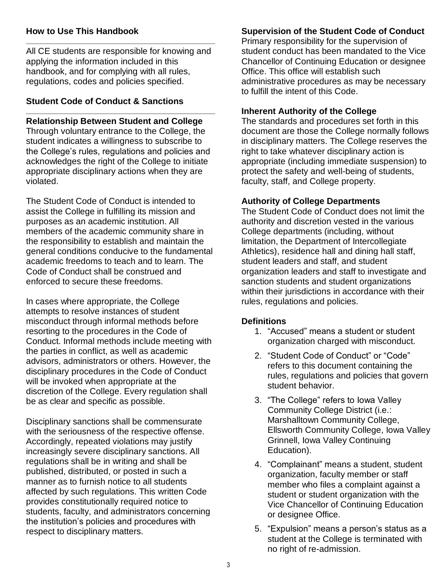#### **How to Use This Handbook**

All CE students are responsible for knowing and applying the information included in this handbook, and for complying with all rules, regulations, codes and policies specified.

#### <span id="page-3-0"></span>**Student Code of Conduct & Sanctions**

#### **Relationship Between Student and College**

Through voluntary entrance to the College, the student indicates a willingness to subscribe to the College's rules, regulations and policies and acknowledges the right of the College to initiate appropriate disciplinary actions when they are violated.

The Student Code of Conduct is intended to assist the College in fulfilling its mission and purposes as an academic institution. All members of the academic community share in the responsibility to establish and maintain the general conditions conducive to the fundamental academic freedoms to teach and to learn. The Code of Conduct shall be construed and enforced to secure these freedoms.

In cases where appropriate, the College attempts to resolve instances of student misconduct through informal methods before resorting to the procedures in the Code of Conduct. Informal methods include meeting with the parties in conflict, as well as academic advisors, administrators or others. However, the disciplinary procedures in the Code of Conduct will be invoked when appropriate at the discretion of the College. Every regulation shall be as clear and specific as possible.

Disciplinary sanctions shall be commensurate with the seriousness of the respective offense. Accordingly, repeated violations may justify increasingly severe disciplinary sanctions. All regulations shall be in writing and shall be published, distributed, or posted in such a manner as to furnish notice to all students affected by such regulations. This written Code provides constitutionally required notice to students, faculty, and administrators concerning the institution's policies and procedures with respect to disciplinary matters.

### <span id="page-3-2"></span>**Supervision of the Student Code of Conduct**

Primary responsibility for the supervision of student conduct has been mandated to the Vice Chancellor of Continuing Education or designee Office. This office will establish such administrative procedures as may be necessary to fulfill the intent of this Code.

#### <span id="page-3-3"></span><span id="page-3-1"></span>**Inherent Authority of the College**

The standards and procedures set forth in this document are those the College normally follows in disciplinary matters. The College reserves the right to take whatever disciplinary action is appropriate (including immediate suspension) to protect the safety and well-being of students, faculty, staff, and College property.

#### <span id="page-3-4"></span>**Authority of College Departments**

The Student Code of Conduct does not limit the authority and discretion vested in the various College departments (including, without limitation, the Department of Intercollegiate Athletics), residence hall and dining hall staff, student leaders and staff, and student organization leaders and staff to investigate and sanction students and student organizations within their jurisdictions in accordance with their rules, regulations and policies.

#### <span id="page-3-5"></span>**Definitions**

- 1. "Accused" means a student or student organization charged with misconduct.
- 2. "Student Code of Conduct" or "Code" refers to this document containing the rules, regulations and policies that govern student behavior.
- 3. "The College" refers to Iowa Valley Community College District (i.e.: Marshalltown Community College, Ellsworth Community College, Iowa Valley Grinnell, Iowa Valley Continuing Education).
- 4. "Complainant" means a student, student organization, faculty member or staff member who files a complaint against a student or student organization with the Vice Chancellor of Continuing Education or designee Office.
- 5. "Expulsion" means a person's status as a student at the College is terminated with no right of re-admission.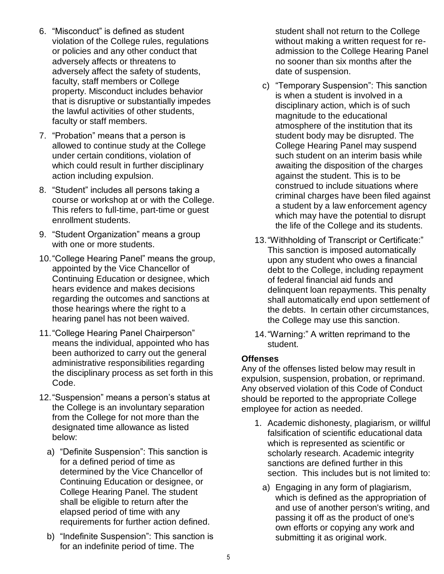- 6. "Misconduct" is defined as student violation of the College rules, regulations or policies and any other conduct that adversely affects or threatens to adversely affect the safety of students, faculty, staff members or College property. Misconduct includes behavior that is disruptive or substantially impedes the lawful activities of other students, faculty or staff members.
- 7. "Probation" means that a person is allowed to continue study at the College under certain conditions, violation of which could result in further disciplinary action including expulsion.
- 8. "Student" includes all persons taking a course or workshop at or with the College. This refers to full-time, part-time or guest enrollment students.
- 9. "Student Organization" means a group with one or more students.
- 10."College Hearing Panel" means the group, appointed by the Vice Chancellor of Continuing Education or designee, which hears evidence and makes decisions regarding the outcomes and sanctions at those hearings where the right to a hearing panel has not been waived.
- 11."College Hearing Panel Chairperson" means the individual, appointed who has been authorized to carry out the general administrative responsibilities regarding the disciplinary process as set forth in this Code.
- 12."Suspension" means a person's status at the College is an involuntary separation from the College for not more than the designated time allowance as listed below:
	- a) "Definite Suspension": This sanction is for a defined period of time as determined by the Vice Chancellor of Continuing Education or designee, or College Hearing Panel. The student shall be eligible to return after the elapsed period of time with any requirements for further action defined.
	- b) "Indefinite Suspension": This sanction is for an indefinite period of time. The

student shall not return to the College without making a written request for readmission to the College Hearing Panel no sooner than six months after the date of suspension.

- c) "Temporary Suspension": This sanction is when a student is involved in a disciplinary action, which is of such magnitude to the educational atmosphere of the institution that its student body may be disrupted. The College Hearing Panel may suspend such student on an interim basis while awaiting the disposition of the charges against the student. This is to be construed to include situations where criminal charges have been filed against a student by a law enforcement agency which may have the potential to disrupt the life of the College and its students.
- 13."Withholding of Transcript or Certificate:" This sanction is imposed automatically upon any student who owes a financial debt to the College, including repayment of federal financial aid funds and delinquent loan repayments. This penalty shall automatically end upon settlement of the debts. In certain other circumstances, the College may use this sanction.
- 14."Warning:" A written reprimand to the student.

#### <span id="page-4-0"></span>**Offenses**

Any of the offenses listed below may result in expulsion, suspension, probation, or reprimand. Any observed violation of this Code of Conduct should be reported to the appropriate College employee for action as needed.

- 1. Academic dishonesty, plagiarism, or willful falsification of scientific educational data which is represented as scientific or scholarly research. Academic integrity sanctions are defined further in this section. This includes but is not limited to:
	- a) Engaging in any form of plagiarism, which is defined as the appropriation of and use of another person's writing, and passing it off as the product of one's own efforts or copying any work and submitting it as original work.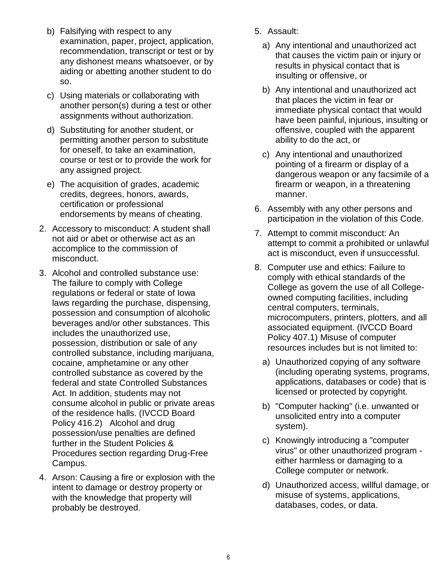- b) Falsifying with respect to any examination, paper, project, application, recommendation, transcript or test or by any dishonest means whatsoever, or by aiding or abetting another student to do so.
- c) Using materials or collaborating with another person(s) during a test or other assignments without authorization.
- d) Substituting for another student, or permitting another person to substitute for oneself, to take an examination, course or test or to provide the work for any assigned project.
- e) The acquisition of grades, academic credits, degrees, honors, awards, certification or professional endorsements by means of cheating.
- 2. Accessory to misconduct: A student shall not aid or abet or otherwise act as an accomplice to the commission of misconduct.
- 3. Alcohol and controlled substance use: The failure to comply with College regulations or federal or state of Iowa laws regarding the purchase, dispensing, possession and consumption of alcoholic beverages and/or other substances. This includes the unauthorized use, possession, distribution or sale of any controlled substance, including marijuana, cocaine, amphetamine or any other controlled substance as covered by the federal and state Controlled Substances Act. In addition, students may not consume alcohol in public or private areas of the residence halls. (IVCCD Board Policy 416.2) Alcohol and drug possession/use penalties are defined further in the Student Policies & Procedures section regarding Drug-Free Campus.
- 4. Arson: Causing a fire or explosion with the intent to damage or destroy property or with the knowledge that property will probably be destroyed.
- 5. Assault:
	- a) Any intentional and unauthorized act that causes the victim pain or injury or results in physical contact that is insulting or offensive, or
	- b) Any intentional and unauthorized act that places the victim in fear or immediate physical contact that would have been painful, injurious, insulting or offensive, coupled with the apparent ability to do the act, or
	- c) Any intentional and unauthorized pointing of a firearm or display of a dangerous weapon or any facsimile of a firearm or weapon, in a threatening manner.
- 6. Assembly with any other persons and participation in the violation of this Code.
- 7. Attempt to commit misconduct: An attempt to commit a prohibited or unlawful act is misconduct, even if unsuccessful.
- 8. Computer use and ethics: Failure to comply with ethical standards of the College as govern the use of all Collegeowned computing facilities, including central computers, terminals, microcomputers, printers, plotters, and all associated equipment. (IVCCD Board Policy 407.1) Misuse of computer resources includes but is not limited to:
	- a) Unauthorized copying of any software (including operating systems, programs, applications, databases or code) that is licensed or protected by copyright.
	- b) "Computer hacking" (i.e. unwanted or unsolicited entry into a computer system).
	- c) Knowingly introducing a "computer virus" or other unauthorized program either harmless or damaging to a College computer or network.
	- d) Unauthorized access, willful damage, or misuse of systems, applications, databases, codes, or data.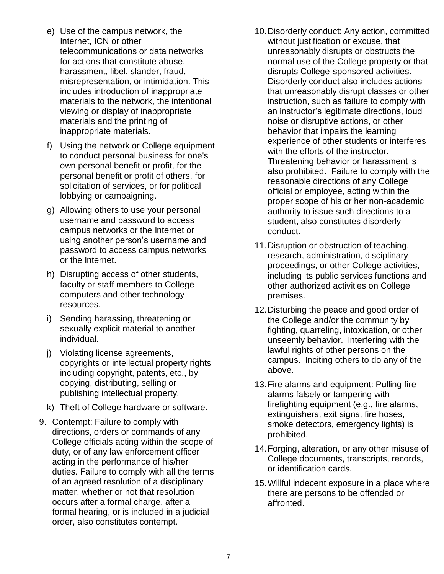- e) Use of the campus network, the Internet, ICN or other telecommunications or data networks for actions that constitute abuse, harassment, libel, slander, fraud, misrepresentation, or intimidation. This includes introduction of inappropriate materials to the network, the intentional viewing or display of inappropriate materials and the printing of inappropriate materials.
- f) Using the network or College equipment to conduct personal business for one's own personal benefit or profit, for the personal benefit or profit of others, for solicitation of services, or for political lobbying or campaigning.
- g) Allowing others to use your personal username and password to access campus networks or the Internet or using another person's username and password to access campus networks or the Internet.
- h) Disrupting access of other students, faculty or staff members to College computers and other technology resources.
- i) Sending harassing, threatening or sexually explicit material to another individual.
- j) Violating license agreements, copyrights or intellectual property rights including copyright, patents, etc., by copying, distributing, selling or publishing intellectual property.
- k) Theft of College hardware or software.
- 9. Contempt: Failure to comply with directions, orders or commands of any College officials acting within the scope of duty, or of any law enforcement officer acting in the performance of his/her duties. Failure to comply with all the terms of an agreed resolution of a disciplinary matter, whether or not that resolution occurs after a formal charge, after a formal hearing, or is included in a judicial order, also constitutes contempt.
- 10.Disorderly conduct: Any action, committed without justification or excuse, that unreasonably disrupts or obstructs the normal use of the College property or that disrupts College-sponsored activities. Disorderly conduct also includes actions that unreasonably disrupt classes or other instruction, such as failure to comply with an instructor's legitimate directions, loud noise or disruptive actions, or other behavior that impairs the learning experience of other students or interferes with the efforts of the instructor. Threatening behavior or harassment is also prohibited. Failure to comply with the reasonable directions of any College official or employee, acting within the proper scope of his or her non-academic authority to issue such directions to a student, also constitutes disorderly conduct.
- 11.Disruption or obstruction of teaching, research, administration, disciplinary proceedings, or other College activities, including its public services functions and other authorized activities on College premises.
- 12.Disturbing the peace and good order of the College and/or the community by fighting, quarreling, intoxication, or other unseemly behavior. Interfering with the lawful rights of other persons on the campus. Inciting others to do any of the above.
- 13.Fire alarms and equipment: Pulling fire alarms falsely or tampering with firefighting equipment (e.g., fire alarms, extinguishers, exit signs, fire hoses, smoke detectors, emergency lights) is prohibited.
- 14.Forging, alteration, or any other misuse of College documents, transcripts, records, or identification cards.
- 15.Willful indecent exposure in a place where there are persons to be offended or affronted.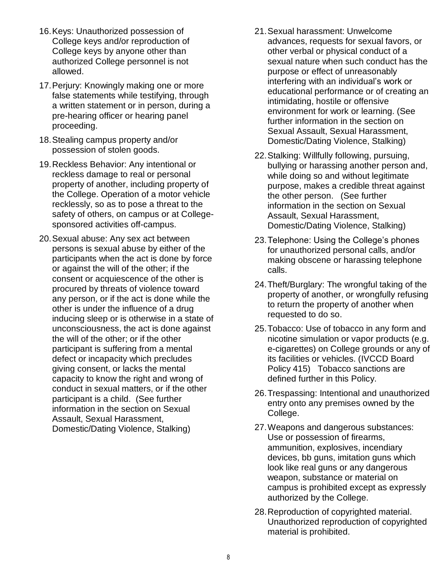- 16.Keys: Unauthorized possession of College keys and/or reproduction of College keys by anyone other than authorized College personnel is not allowed.
- 17.Perjury: Knowingly making one or more false statements while testifying, through a written statement or in person, during a pre-hearing officer or hearing panel proceeding.
- 18.Stealing campus property and/or possession of stolen goods.
- 19.Reckless Behavior: Any intentional or reckless damage to real or personal property of another, including property of the College. Operation of a motor vehicle recklessly, so as to pose a threat to the safety of others, on campus or at Collegesponsored activities off-campus.
- 20.Sexual abuse: Any sex act between persons is sexual abuse by either of the participants when the act is done by force or against the will of the other; if the consent or acquiescence of the other is procured by threats of violence toward any person, or if the act is done while the other is under the influence of a drug inducing sleep or is otherwise in a state of unconsciousness, the act is done against the will of the other; or if the other participant is suffering from a mental defect or incapacity which precludes giving consent, or lacks the mental capacity to know the right and wrong of conduct in sexual matters, or if the other participant is a child. (See further information in the section on Sexual Assault, Sexual Harassment, Domestic/Dating Violence, Stalking)
- 21.Sexual harassment: Unwelcome advances, requests for sexual favors, or other verbal or physical conduct of a sexual nature when such conduct has the purpose or effect of unreasonably interfering with an individual's work or educational performance or of creating an intimidating, hostile or offensive environment for work or learning. (See further information in the section on Sexual Assault, Sexual Harassment, Domestic/Dating Violence, Stalking)
- 22.Stalking: Willfully following, pursuing, bullying or harassing another person and, while doing so and without legitimate purpose, makes a credible threat against the other person. (See further information in the section on Sexual Assault, Sexual Harassment, Domestic/Dating Violence, Stalking)
- 23.Telephone: Using the College's phones for unauthorized personal calls, and/or making obscene or harassing telephone calls.
- 24.Theft/Burglary: The wrongful taking of the property of another, or wrongfully refusing to return the property of another when requested to do so.
- 25.Tobacco: Use of tobacco in any form and nicotine simulation or vapor products (e.g. e-cigarettes) on College grounds or any of its facilities or vehicles. (IVCCD Board Policy 415) Tobacco sanctions are defined further in this Policy.
- 26.Trespassing: Intentional and unauthorized entry onto any premises owned by the College.
- 27.Weapons and dangerous substances: Use or possession of firearms, ammunition, explosives, incendiary devices, bb guns, imitation guns which look like real guns or any dangerous weapon, substance or material on campus is prohibited except as expressly authorized by the College.
- 28.Reproduction of copyrighted material. Unauthorized reproduction of copyrighted material is prohibited.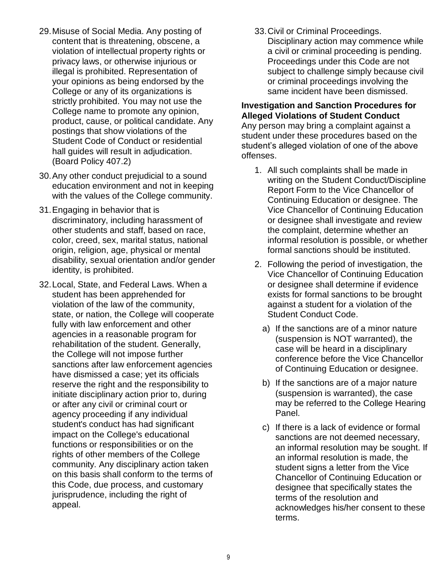- 29.Misuse of Social Media. Any posting of content that is threatening, obscene, a violation of intellectual property rights or privacy laws, or otherwise injurious or illegal is prohibited. Representation of your opinions as being endorsed by the College or any of its organizations is strictly prohibited. You may not use the College name to promote any opinion, product, cause, or political candidate. Any postings that show violations of the Student Code of Conduct or residential hall guides will result in adjudication. (Board Policy 407.2)
- 30.Any other conduct prejudicial to a sound education environment and not in keeping with the values of the College community.
- 31.Engaging in behavior that is discriminatory, including harassment of other students and staff, based on race, color, creed, sex, marital status, national origin, religion, age, physical or mental disability, sexual orientation and/or gender identity, is prohibited.
- 32.Local, State, and Federal Laws. When a student has been apprehended for violation of the law of the community, state, or nation, the College will cooperate fully with law enforcement and other agencies in a reasonable program for rehabilitation of the student. Generally, the College will not impose further sanctions after law enforcement agencies have dismissed a case; yet its officials reserve the right and the responsibility to initiate disciplinary action prior to, during or after any civil or criminal court or agency proceeding if any individual student's conduct has had significant impact on the College's educational functions or responsibilities or on the rights of other members of the College community. Any disciplinary action taken on this basis shall conform to the terms of this Code, due process, and customary jurisprudence, including the right of appeal.

33.Civil or Criminal Proceedings.

Disciplinary action may commence while a civil or criminal proceeding is pending. Proceedings under this Code are not subject to challenge simply because civil or criminal proceedings involving the same incident have been dismissed.

#### <span id="page-8-0"></span>**Investigation and Sanction Procedures for Alleged Violations of Student Conduct**

Any person may bring a complaint against a student under these procedures based on the student's alleged violation of one of the above offenses.

- 1. All such complaints shall be made in writing on the Student Conduct/Discipline Report Form to the Vice Chancellor of Continuing Education or designee. The Vice Chancellor of Continuing Education or designee shall investigate and review the complaint, determine whether an informal resolution is possible, or whether formal sanctions should be instituted.
- 2. Following the period of investigation, the Vice Chancellor of Continuing Education or designee shall determine if evidence exists for formal sanctions to be brought against a student for a violation of the Student Conduct Code.
	- a) If the sanctions are of a minor nature (suspension is NOT warranted), the case will be heard in a disciplinary conference before the Vice Chancellor of Continuing Education or designee.
	- b) If the sanctions are of a major nature (suspension is warranted), the case may be referred to the College Hearing Panel.
	- c) If there is a lack of evidence or formal sanctions are not deemed necessary, an informal resolution may be sought. If an informal resolution is made, the student signs a letter from the Vice Chancellor of Continuing Education or designee that specifically states the terms of the resolution and acknowledges his/her consent to these terms.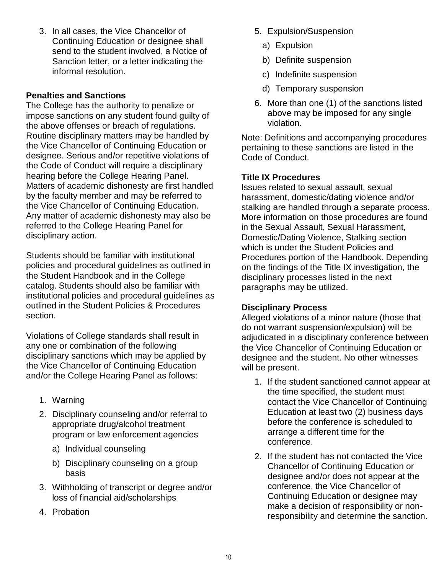3. In all cases, the Vice Chancellor of Continuing Education or designee shall send to the student involved, a Notice of Sanction letter, or a letter indicating the informal resolution.

#### <span id="page-9-0"></span>**Penalties and Sanctions**

The College has the authority to penalize or impose sanctions on any student found guilty of the above offenses or breach of regulations. Routine disciplinary matters may be handled by the Vice Chancellor of Continuing Education or designee. Serious and/or repetitive violations of the Code of Conduct will require a disciplinary hearing before the College Hearing Panel. Matters of academic dishonesty are first handled by the faculty member and may be referred to the Vice Chancellor of Continuing Education. Any matter of academic dishonesty may also be referred to the College Hearing Panel for disciplinary action.

Students should be familiar with institutional policies and procedural guidelines as outlined in the Student Handbook and in the College catalog. Students should also be familiar with institutional policies and procedural guidelines as outlined in the Student Policies & Procedures section.

Violations of College standards shall result in any one or combination of the following disciplinary sanctions which may be applied by the Vice Chancellor of Continuing Education and/or the College Hearing Panel as follows:

- 1. Warning
- 2. Disciplinary counseling and/or referral to appropriate drug/alcohol treatment program or law enforcement agencies
	- a) Individual counseling
	- b) Disciplinary counseling on a group basis
- 3. Withholding of transcript or degree and/or loss of financial aid/scholarships
- 4. Probation
- 5. Expulsion/Suspension
	- a) Expulsion
	- b) Definite suspension
	- c) Indefinite suspension
	- d) Temporary suspension
- 6. More than one (1) of the sanctions listed above may be imposed for any single violation.

Note: Definitions and accompanying procedures pertaining to these sanctions are listed in the Code of Conduct.

#### <span id="page-9-1"></span>**Title IX Procedures**

Issues related to sexual assault, sexual harassment, domestic/dating violence and/or stalking are handled through a separate process. More information on those procedures are found in the Sexual Assault, Sexual Harassment, Domestic/Dating Violence, Stalking section which is under the Student Policies and Procedures portion of the Handbook. Depending on the findings of the Title IX investigation, the disciplinary processes listed in the next paragraphs may be utilized.

#### <span id="page-9-2"></span>**Disciplinary Process**

Alleged violations of a minor nature (those that do not warrant suspension/expulsion) will be adjudicated in a disciplinary conference between the Vice Chancellor of Continuing Education or designee and the student. No other witnesses will be present.

- 1. If the student sanctioned cannot appear at the time specified, the student must contact the Vice Chancellor of Continuing Education at least two (2) business days before the conference is scheduled to arrange a different time for the conference.
- 2. If the student has not contacted the Vice Chancellor of Continuing Education or designee and/or does not appear at the conference, the Vice Chancellor of Continuing Education or designee may make a decision of responsibility or nonresponsibility and determine the sanction.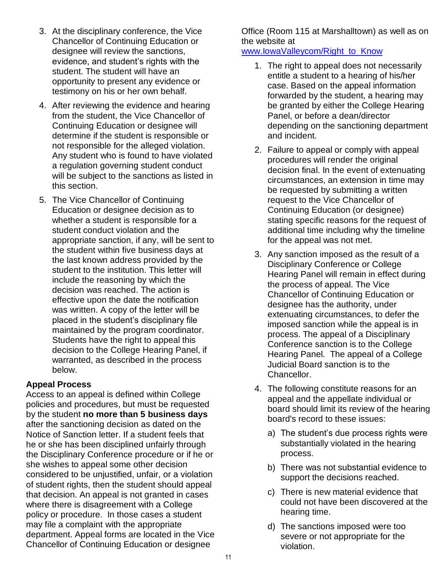- 3. At the disciplinary conference, the Vice Chancellor of Continuing Education or designee will review the sanctions, evidence, and student's rights with the student. The student will have an opportunity to present any evidence or testimony on his or her own behalf.
- 4. After reviewing the evidence and hearing from the student, the Vice Chancellor of Continuing Education or designee will determine if the student is responsible or not responsible for the alleged violation. Any student who is found to have violated a regulation governing student conduct will be subject to the sanctions as listed in this section.
- 5. The Vice Chancellor of Continuing Education or designee decision as to whether a student is responsible for a student conduct violation and the appropriate sanction, if any, will be sent to the student within five business days at the last known address provided by the student to the institution. This letter will include the reasoning by which the decision was reached. The action is effective upon the date the notification was written. A copy of the letter will be placed in the student's disciplinary file maintained by the program coordinator. Students have the right to appeal this decision to the College Hearing Panel, if warranted, as described in the process below.

#### <span id="page-10-0"></span>**Appeal Process**

Access to an appeal is defined within College policies and procedures, but must be requested by the student **no more than 5 business days** after the sanctioning decision as dated on the Notice of Sanction letter. If a student feels that he or she has been disciplined unfairly through the Disciplinary Conference procedure or if he or she wishes to appeal some other decision considered to be unjustified, unfair, or a violation of student rights, then the student should appeal that decision. An appeal is not granted in cases where there is disagreement with a College policy or procedure. In those cases a student may file a complaint with the appropriate department. Appeal forms are located in the Vice Chancellor of Continuing Education or designee

Office (Room 115 at Marshalltown) as well as on the website at

#### [www.IowaValleycom/Right\\_to\\_Know](http://www.iowavalleycom/Right_to_Know)

- 1. The right to appeal does not necessarily entitle a student to a hearing of his/her case. Based on the appeal information forwarded by the student, a hearing may be granted by either the College Hearing Panel, or before a dean/director depending on the sanctioning department and incident.
- 2. Failure to appeal or comply with appeal procedures will render the original decision final. In the event of extenuating circumstances, an extension in time may be requested by submitting a written request to the Vice Chancellor of Continuing Education (or designee) stating specific reasons for the request of additional time including why the timeline for the appeal was not met.
- 3. Any sanction imposed as the result of a Disciplinary Conference or College Hearing Panel will remain in effect during the process of appeal. The Vice Chancellor of Continuing Education or designee has the authority, under extenuating circumstances, to defer the imposed sanction while the appeal is in process. The appeal of a Disciplinary Conference sanction is to the College Hearing Panel. The appeal of a College Judicial Board sanction is to the Chancellor.
- 4. The following constitute reasons for an appeal and the appellate individual or board should limit its review of the hearing board's record to these issues:
	- a) The student's due process rights were substantially violated in the hearing process.
	- b) There was not substantial evidence to support the decisions reached.
	- c) There is new material evidence that could not have been discovered at the hearing time.
	- d) The sanctions imposed were too severe or not appropriate for the violation.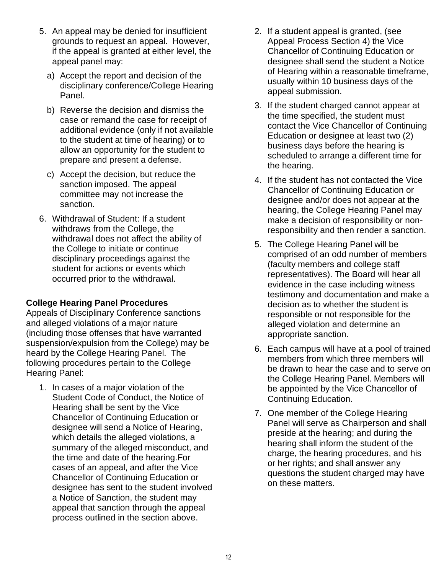- 5. An appeal may be denied for insufficient grounds to request an appeal. However, if the appeal is granted at either level, the appeal panel may:
	- a) Accept the report and decision of the disciplinary conference/College Hearing Panel.
	- b) Reverse the decision and dismiss the case or remand the case for receipt of additional evidence (only if not available to the student at time of hearing) or to allow an opportunity for the student to prepare and present a defense.
	- c) Accept the decision, but reduce the sanction imposed. The appeal committee may not increase the sanction.
- 6. Withdrawal of Student: If a student withdraws from the College, the withdrawal does not affect the ability of the College to initiate or continue disciplinary proceedings against the student for actions or events which occurred prior to the withdrawal.

#### <span id="page-11-0"></span>**College Hearing Panel Procedures**

Appeals of Disciplinary Conference sanctions and alleged violations of a major nature (including those offenses that have warranted suspension/expulsion from the College) may be heard by the College Hearing Panel. The following procedures pertain to the College Hearing Panel:

1. In cases of a major violation of the Student Code of Conduct, the Notice of Hearing shall be sent by the Vice Chancellor of Continuing Education or designee will send a Notice of Hearing, which details the alleged violations, a summary of the alleged misconduct, and the time and date of the hearing.For cases of an appeal, and after the Vice Chancellor of Continuing Education or designee has sent to the student involved a Notice of Sanction, the student may appeal that sanction through the appeal process outlined in the section above.

- 2. If a student appeal is granted, (see Appeal Process Section 4) the Vice Chancellor of Continuing Education or designee shall send the student a Notice of Hearing within a reasonable timeframe, usually within 10 business days of the appeal submission.
- 3. If the student charged cannot appear at the time specified, the student must contact the Vice Chancellor of Continuing Education or designee at least two (2) business days before the hearing is scheduled to arrange a different time for the hearing.
- 4. If the student has not contacted the Vice Chancellor of Continuing Education or designee and/or does not appear at the hearing, the College Hearing Panel may make a decision of responsibility or nonresponsibility and then render a sanction.
- 5. The College Hearing Panel will be comprised of an odd number of members (faculty members and college staff representatives). The Board will hear all evidence in the case including witness testimony and documentation and make a decision as to whether the student is responsible or not responsible for the alleged violation and determine an appropriate sanction.
- 6. Each campus will have at a pool of trained members from which three members will be drawn to hear the case and to serve on the College Hearing Panel. Members will be appointed by the Vice Chancellor of Continuing Education.
- 7. One member of the College Hearing Panel will serve as Chairperson and shall preside at the hearing; and during the hearing shall inform the student of the charge, the hearing procedures, and his or her rights; and shall answer any questions the student charged may have on these matters.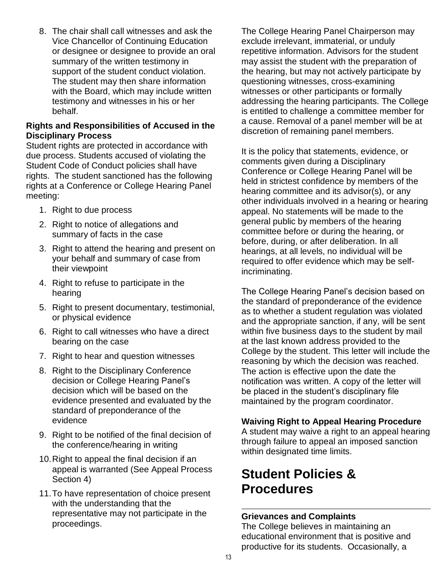8. The chair shall call witnesses and ask the Vice Chancellor of Continuing Education or designee or designee to provide an oral summary of the written testimony in support of the student conduct violation. The student may then share information with the Board, which may include written testimony and witnesses in his or her behalf.

#### <span id="page-12-0"></span>**Rights and Responsibilities of Accused in the Disciplinary Process**

Student rights are protected in accordance with due process. Students accused of violating the Student Code of Conduct policies shall have rights. The student sanctioned has the following rights at a Conference or College Hearing Panel meeting:

- 1. Right to due process
- 2. Right to notice of allegations and summary of facts in the case
- 3. Right to attend the hearing and present on your behalf and summary of case from their viewpoint
- 4. Right to refuse to participate in the hearing
- 5. Right to present documentary, testimonial, or physical evidence
- 6. Right to call witnesses who have a direct bearing on the case
- 7. Right to hear and question witnesses
- 8. Right to the Disciplinary Conference decision or College Hearing Panel's decision which will be based on the evidence presented and evaluated by the standard of preponderance of the evidence
- 9. Right to be notified of the final decision of the conference/hearing in writing
- 10.Right to appeal the final decision if an appeal is warranted (See Appeal Process Section 4)
- 11.To have representation of choice present with the understanding that the representative may not participate in the proceedings.

The College Hearing Panel Chairperson may exclude irrelevant, immaterial, or unduly repetitive information. Advisors for the student may assist the student with the preparation of the hearing, but may not actively participate by questioning witnesses, cross-examining witnesses or other participants or formally addressing the hearing participants. The College is entitled to challenge a committee member for a cause. Removal of a panel member will be at discretion of remaining panel members.

It is the policy that statements, evidence, or comments given during a Disciplinary Conference or College Hearing Panel will be held in strictest confidence by members of the hearing committee and its advisor(s), or any other individuals involved in a hearing or hearing appeal. No statements will be made to the general public by members of the hearing committee before or during the hearing, or before, during, or after deliberation. In all hearings, at all levels, no individual will be required to offer evidence which may be selfincriminating.

The College Hearing Panel's decision based on the standard of preponderance of the evidence as to whether a student regulation was violated and the appropriate sanction, if any, will be sent within five business days to the student by mail at the last known address provided to the College by the student. This letter will include the reasoning by which the decision was reached. The action is effective upon the date the notification was written. A copy of the letter will be placed in the student's disciplinary file maintained by the program coordinator.

#### <span id="page-12-1"></span>**Waiving Right to Appeal Hearing Procedure**

A student may waive a right to an appeal hearing through failure to appeal an imposed sanction within designated time limits.

# <span id="page-12-2"></span>**Student Policies & Procedures**

#### <span id="page-12-3"></span>**Grievances and Complaints**

The College believes in maintaining an educational environment that is positive and productive for its students. Occasionally, a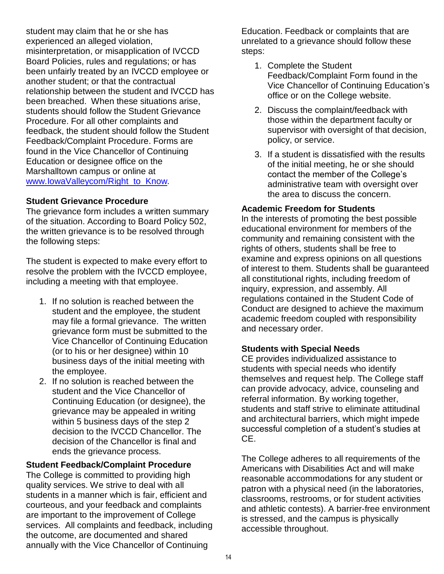student may claim that he or she has experienced an alleged violation, misinterpretation, or misapplication of IVCCD Board Policies, rules and regulations; or has been unfairly treated by an IVCCD employee or another student; or that the contractual relationship between the student and IVCCD has been breached. When these situations arise, students should follow the Student Grievance Procedure. For all other complaints and feedback, the student should follow the Student Feedback/Complaint Procedure. Forms are found in the Vice Chancellor of Continuing Education or designee office on the Marshalltown campus or online at [www.IowaValleycom/Right\\_to\\_Know.](https://ce.iavalley.edu/about-ce/right-to-know-information)

#### **Student Grievance Procedure**

The grievance form includes a written summary of the situation. According to Board Policy 502, the written grievance is to be resolved through the following steps:

The student is expected to make every effort to resolve the problem with the IVCCD employee, including a meeting with that employee.

- 1. If no solution is reached between the student and the employee, the student may file a formal grievance. The written grievance form must be submitted to the Vice Chancellor of Continuing Education (or to his or her designee) within 10 business days of the initial meeting with the employee.
- 2. If no solution is reached between the student and the Vice Chancellor of Continuing Education (or designee), the grievance may be appealed in writing within 5 business days of the step 2 decision to the IVCCD Chancellor. The decision of the Chancellor is final and ends the grievance process.

**Student Feedback/Complaint Procedure** The College is committed to providing high quality services. We strive to deal with all students in a manner which is fair, efficient and courteous, and your feedback and complaints are important to the improvement of College services. All complaints and feedback, including the outcome, are documented and shared annually with the Vice Chancellor of Continuing

Education. Feedback or complaints that are unrelated to a grievance should follow these steps:

- 1. Complete the Student Feedback/Complaint Form found in the Vice Chancellor of Continuing Education's office or on the College website.
- 2. Discuss the complaint/feedback with those within the department faculty or supervisor with oversight of that decision, policy, or service.
- 3. If a student is dissatisfied with the results of the initial meeting, he or she should contact the member of the College's administrative team with oversight over the area to discuss the concern.

#### <span id="page-13-0"></span>**Academic Freedom for Students**

In the interests of promoting the best possible educational environment for members of the community and remaining consistent with the rights of others, students shall be free to examine and express opinions on all questions of interest to them. Students shall be guaranteed all constitutional rights, including freedom of inquiry, expression, and assembly. All regulations contained in the Student Code of Conduct are designed to achieve the maximum academic freedom coupled with responsibility and necessary order.

#### <span id="page-13-1"></span>**Students with Special Needs**

CE provides individualized assistance to students with special needs who identify themselves and request help. The College staff can provide advocacy, advice, counseling and referral information. By working together, students and staff strive to eliminate attitudinal and architectural barriers, which might impede successful completion of a student's studies at CE.

The College adheres to all requirements of the Americans with Disabilities Act and will make reasonable accommodations for any student or patron with a physical need (in the laboratories, classrooms, restrooms, or for student activities and athletic contests). A barrier-free environment is stressed, and the campus is physically accessible throughout.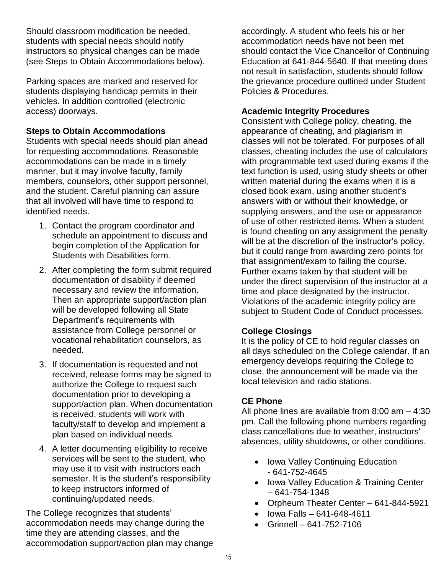Should classroom modification be needed, students with special needs should notify instructors so physical changes can be made (see Steps to Obtain Accommodations below).

Parking spaces are marked and reserved for students displaying handicap permits in their vehicles. In addition controlled (electronic access) doorways.

#### **Steps to Obtain Accommodations**

Students with special needs should plan ahead for requesting accommodations. Reasonable accommodations can be made in a timely manner, but it may involve faculty, family members, counselors, other support personnel, and the student. Careful planning can assure that all involved will have time to respond to identified needs.

- 1. Contact the program coordinator and schedule an appointment to discuss and begin completion of the Application for Students with Disabilities form.
- 2. After completing the form submit required documentation of disability if deemed necessary and review the information. Then an appropriate support/action plan will be developed following all State Department's requirements with assistance from College personnel or vocational rehabilitation counselors, as needed.
- 3. If documentation is requested and not received, release forms may be signed to authorize the College to request such documentation prior to developing a support/action plan. When documentation is received, students will work with faculty/staff to develop and implement a plan based on individual needs.
- 4. A letter documenting eligibility to receive services will be sent to the student, who may use it to visit with instructors each semester. It is the student's responsibility to keep instructors informed of continuing/updated needs.

The College recognizes that students' accommodation needs may change during the time they are attending classes, and the accommodation support/action plan may change accordingly. A student who feels his or her accommodation needs have not been met should contact the Vice Chancellor of Continuing Education at 641-844-5640. If that meeting does not result in satisfaction, students should follow the grievance procedure outlined under Student Policies & Procedures.

#### <span id="page-14-0"></span>**Academic Integrity Procedures**

Consistent with College policy, cheating, the appearance of cheating, and plagiarism in classes will not be tolerated. For purposes of all classes, cheating includes the use of calculators with programmable text used during exams if the text function is used, using study sheets or other written material during the exams when it is a closed book exam, using another student's answers with or without their knowledge, or supplying answers, and the use or appearance of use of other restricted items. When a student is found cheating on any assignment the penalty will be at the discretion of the instructor's policy, but it could range from awarding zero points for that assignment/exam to failing the course. Further exams taken by that student will be under the direct supervision of the instructor at a time and place designated by the instructor. Violations of the academic integrity policy are subject to Student Code of Conduct processes.

### <span id="page-14-1"></span>**College Closings**

It is the policy of CE to hold regular classes on all days scheduled on the College calendar. If an emergency develops requiring the College to close, the announcement will be made via the local television and radio stations.

#### <span id="page-14-2"></span>**CE Phone**

All phone lines are available from 8:00 am – 4:30 pm. Call the following phone numbers regarding class cancellations due to weather, instructors' absences, utility shutdowns, or other conditions.

- Iowa Valley Continuing Education - 641-752-4645
- Iowa Valley Education & Training Center – 641-754-1348
- Orpheum Theater Center 641-844-5921
- Iowa Falls 641-648-4611
- $\cdot$  Grinnell 641-752-7106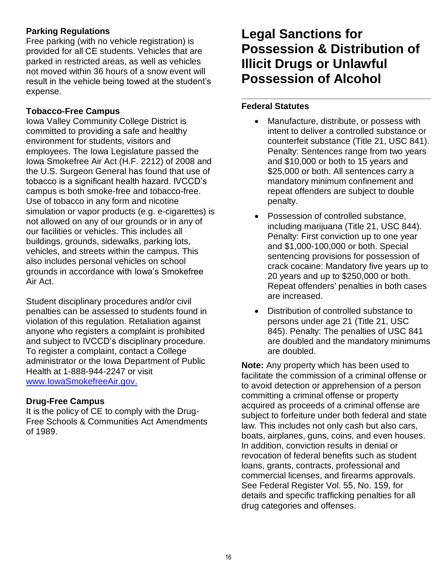### <span id="page-15-0"></span>**Parking Regulations**

Free parking (with no vehicle registration) is provided for all CE students. Vehicles that are parked in restricted areas, as well as vehicles not moved within 36 hours of a snow event will result in the vehicle being towed at the student's expense.

#### <span id="page-15-1"></span>**Tobacco-Free Campus**

Iowa Valley Community College District is committed to providing a safe and healthy environment for students, visitors and employees. The Iowa Legislature passed the Iowa Smokefree Air Act (H.F. 2212) of 2008 and the U.S. Surgeon General has found that use of tobacco is a significant health hazard. IVCCD's campus is both smoke-free and tobacco-free. Use of tobacco in any form and nicotine simulation or vapor products (e.g. e-cigarettes) is not allowed on any of our grounds or in any of our facilities or vehicles. This includes all buildings, grounds, sidewalks, parking lots, vehicles, and streets within the campus. This also includes personal vehicles on school grounds in accordance with Iowa's Smokefree Air Act.

Student disciplinary procedures and/or civil penalties can be assessed to students found in violation of this regulation. Retaliation against anyone who registers a complaint is prohibited and subject to IVCCD's disciplinary procedure. To register a complaint, contact a College administrator or the Iowa Department of Public Health at 1-888-944-2247 or visit [www.IowaSmokefreeAir.gov.](http://www.iowasmokefreeair.gov/)

#### <span id="page-15-2"></span>**Drug-Free Campus**

It is the policy of CE to comply with the Drug-Free Schools & Communities Act Amendments of 1989.

# **Legal Sanctions for Possession & Distribution of Illicit Drugs or Unlawful Possession of Alcohol**

## **Federal Statutes**

- Manufacture, distribute, or possess with intent to deliver a controlled substance or counterfeit substance (Title 21, USC 841). Penalty: Sentences range from two years and \$10,000 or both to 15 years and \$25,000 or both. All sentences carry a mandatory minimum confinement and repeat offenders are subject to double penalty.
- Possession of controlled substance, including marijuana (Title 21, USC 844). Penalty: First conviction up to one year and \$1,000-100,000 or both. Special sentencing provisions for possession of crack cocaine: Mandatory five years up to 20 years and up to \$250,000 or both. Repeat offenders' penalties in both cases are increased.
- Distribution of controlled substance to persons under age 21 (Title 21, USC 845). Penalty: The penalties of USC 841 are doubled and the mandatory minimums are doubled.

**Note:** Any property which has been used to facilitate the commission of a criminal offense or to avoid detection or apprehension of a person committing a criminal offense or property acquired as proceeds of a criminal offense are subject to forfeiture under both federal and state law. This includes not only cash but also cars, boats, airplanes, guns, coins, and even houses. In addition, conviction results in denial or revocation of federal benefits such as student loans, grants, contracts, professional and commercial licenses, and firearms approvals. See Federal Register Vol. 55, No. 159, for details and specific trafficking penalties for all drug categories and offenses.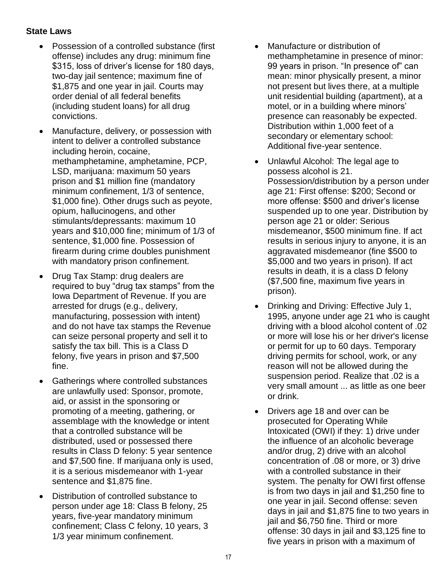#### **State Laws**

- Possession of a controlled substance (first offense) includes any drug: minimum fine \$315, loss of driver's license for 180 days, two-day jail sentence; maximum fine of \$1,875 and one year in jail. Courts may order denial of all federal benefits (including student loans) for all drug convictions.
- Manufacture, delivery, or possession with intent to deliver a controlled substance including heroin, cocaine, methamphetamine, amphetamine, PCP, LSD, marijuana: maximum 50 years prison and \$1 million fine (mandatory minimum confinement, 1/3 of sentence, \$1,000 fine). Other drugs such as peyote, opium, hallucinogens, and other stimulants/depressants: maximum 10 years and \$10,000 fine; minimum of 1/3 of sentence, \$1,000 fine. Possession of firearm during crime doubles punishment with mandatory prison confinement.
- Drug Tax Stamp: drug dealers are required to buy "drug tax stamps" from the Iowa Department of Revenue. If you are arrested for drugs (e.g., delivery, manufacturing, possession with intent) and do not have tax stamps the Revenue can seize personal property and sell it to satisfy the tax bill. This is a Class D felony, five years in prison and \$7,500 fine.
- Gatherings where controlled substances are unlawfully used: Sponsor, promote, aid, or assist in the sponsoring or promoting of a meeting, gathering, or assemblage with the knowledge or intent that a controlled substance will be distributed, used or possessed there results in Class D felony: 5 year sentence and \$7,500 fine. If marijuana only is used, it is a serious misdemeanor with 1-year sentence and \$1,875 fine.
- Distribution of controlled substance to person under age 18: Class B felony, 25 years, five-year mandatory minimum confinement; Class C felony, 10 years, 3 1/3 year minimum confinement.
- Manufacture or distribution of methamphetamine in presence of minor: 99 years in prison. "In presence of" can mean: minor physically present, a minor not present but lives there, at a multiple unit residential building (apartment), at a motel, or in a building where minors' presence can reasonably be expected. Distribution within 1,000 feet of a secondary or elementary school: Additional five-year sentence.
- Unlawful Alcohol: The legal age to possess alcohol is 21. Possession/distribution by a person under age 21: First offense: \$200; Second or more offense: \$500 and driver's license suspended up to one year. Distribution by person age 21 or older: Serious misdemeanor, \$500 minimum fine. If act results in serious injury to anyone, it is an aggravated misdemeanor (fine \$500 to \$5,000 and two years in prison). If act results in death, it is a class D felony (\$7,500 fine, maximum five years in prison).
- Drinking and Driving: Effective July 1, 1995, anyone under age 21 who is caught driving with a blood alcohol content of .02 or more will lose his or her driver's license or permit for up to 60 days. Temporary driving permits for school, work, or any reason will not be allowed during the suspension period. Realize that .02 is a very small amount ... as little as one beer or drink.
- Drivers age 18 and over can be prosecuted for Operating While Intoxicated (OWI) if they: 1) drive under the influence of an alcoholic beverage and/or drug, 2) drive with an alcohol concentration of .08 or more, or 3) drive with a controlled substance in their system. The penalty for OWI first offense is from two days in jail and \$1,250 fine to one year in jail. Second offense: seven days in jail and \$1,875 fine to two years in jail and \$6,750 fine. Third or more offense: 30 days in jail and \$3,125 fine to five years in prison with a maximum of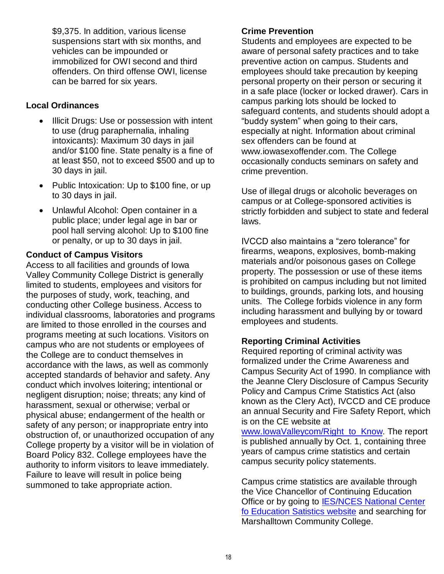\$9,375. In addition, various license suspensions start with six months, and vehicles can be impounded or immobilized for OWI second and third offenders. On third offense OWI, license can be barred for six years.

#### **Local Ordinances**

- Illicit Drugs: Use or possession with intent to use (drug paraphernalia, inhaling intoxicants): Maximum 30 days in jail and/or \$100 fine. State penalty is a fine of at least \$50, not to exceed \$500 and up to 30 days in jail.
- Public Intoxication: Up to \$100 fine, or up to 30 days in jail.
- Unlawful Alcohol: Open container in a public place; under legal age in bar or pool hall serving alcohol: Up to \$100 fine or penalty, or up to 30 days in jail.

#### <span id="page-17-0"></span>**Conduct of Campus Visitors**

Access to all facilities and grounds of Iowa Valley Community College District is generally limited to students, employees and visitors for the purposes of study, work, teaching, and conducting other College business. Access to individual classrooms, laboratories and programs are limited to those enrolled in the courses and programs meeting at such locations. Visitors on campus who are not students or employees of the College are to conduct themselves in accordance with the laws, as well as commonly accepted standards of behavior and safety. Any conduct which involves loitering; intentional or negligent disruption; noise; threats; any kind of harassment, sexual or otherwise; verbal or physical abuse; endangerment of the health or safety of any person; or inappropriate entry into obstruction of, or unauthorized occupation of any College property by a visitor will be in violation of Board Policy 832. College employees have the authority to inform visitors to leave immediately. Failure to leave will result in police being summoned to take appropriate action.

#### <span id="page-17-1"></span>**Crime Prevention**

Students and employees are expected to be aware of personal safety practices and to take preventive action on campus. Students and employees should take precaution by keeping personal property on their person or securing it in a safe place (locker or locked drawer). Cars in campus parking lots should be locked to safeguard contents, and students should adopt a "buddy system" when going to their cars, especially at night. Information about criminal sex offenders can be found at www.iowasexoffender.com. The College occasionally conducts seminars on safety and crime prevention.

Use of illegal drugs or alcoholic beverages on campus or at College-sponsored activities is strictly forbidden and subject to state and federal laws.

IVCCD also maintains a "zero tolerance" for firearms, weapons, explosives, bomb-making materials and/or poisonous gases on College property. The possession or use of these items is prohibited on campus including but not limited to buildings, grounds, parking lots, and housing units. The College forbids violence in any form including harassment and bullying by or toward employees and students.

#### <span id="page-17-2"></span>**Reporting Criminal Activities**

Required reporting of criminal activity was formalized under the Crime Awareness and Campus Security Act of 1990. In compliance with the Jeanne Clery Disclosure of Campus Security Policy and Campus Crime Statistics Act (also known as the Clery Act), IVCCD and CE produce an annual Security and Fire Safety Report, which is on the CE website at www.lowaValleycom/Right\_to\_Know. The report

is published annually by Oct. 1, containing three years of campus crime statistics and certain campus security policy statements.

Campus crime statistics are available through the Vice Chancellor of Continuing Education Office or by going to **IES/NCES** National Center [fo Education Satistics website](http://nces.ed.gov/IPEDS/COOL) and searching for Marshalltown Community College.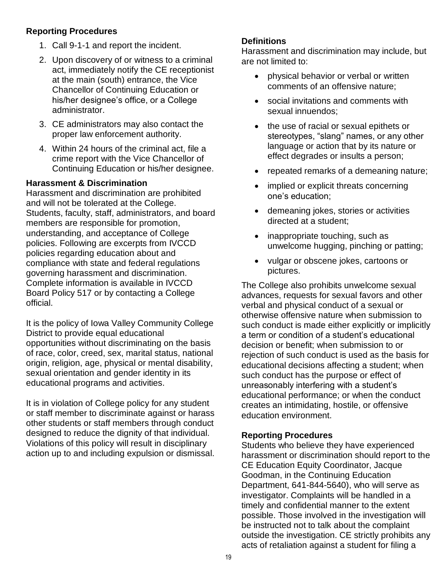#### **Reporting Procedures**

- 1. Call 9-1-1 and report the incident.
- 2. Upon discovery of or witness to a criminal act, immediately notify the CE receptionist at the main (south) entrance, the Vice Chancellor of Continuing Education or his/her designee's office, or a College administrator.
- 3. CE administrators may also contact the proper law enforcement authority.
- 4. Within 24 hours of the criminal act, file a crime report with the Vice Chancellor of Continuing Education or his/her designee.

#### <span id="page-18-0"></span>**Harassment & Discrimination**

Harassment and discrimination are prohibited and will not be tolerated at the College. Students, faculty, staff, administrators, and board members are responsible for promotion, understanding, and acceptance of College policies. Following are excerpts from IVCCD policies regarding education about and compliance with state and federal regulations governing harassment and discrimination. Complete information is available in IVCCD Board Policy 517 or by contacting a College official.

It is the policy of Iowa Valley Community College District to provide equal educational opportunities without discriminating on the basis of race, color, creed, sex, marital status, national origin, religion, age, physical or mental disability, sexual orientation and gender identity in its educational programs and activities.

It is in violation of College policy for any student or staff member to discriminate against or harass other students or staff members through conduct designed to reduce the dignity of that individual. Violations of this policy will result in disciplinary action up to and including expulsion or dismissal.

#### **Definitions**

Harassment and discrimination may include, but are not limited to:

- physical behavior or verbal or written comments of an offensive nature;
- social invitations and comments with sexual innuendos;
- the use of racial or sexual epithets or stereotypes, "slang" names, or any other language or action that by its nature or effect degrades or insults a person;
- repeated remarks of a demeaning nature;
- implied or explicit threats concerning one's education;
- demeaning jokes, stories or activities directed at a student;
- inappropriate touching, such as unwelcome hugging, pinching or patting;
- vulgar or obscene jokes, cartoons or pictures.

The College also prohibits unwelcome sexual advances, requests for sexual favors and other verbal and physical conduct of a sexual or otherwise offensive nature when submission to such conduct is made either explicitly or implicitly a term or condition of a student's educational decision or benefit; when submission to or rejection of such conduct is used as the basis for educational decisions affecting a student; when such conduct has the purpose or effect of unreasonably interfering with a student's educational performance; or when the conduct creates an intimidating, hostile, or offensive education environment.

#### **Reporting Procedures**

Students who believe they have experienced harassment or discrimination should report to the CE Education Equity Coordinator, Jacque Goodman, in the Continuing Education Department, 641-844-5640), who will serve as investigator. Complaints will be handled in a timely and confidential manner to the extent possible. Those involved in the investigation will be instructed not to talk about the complaint outside the investigation. CE strictly prohibits any acts of retaliation against a student for filing a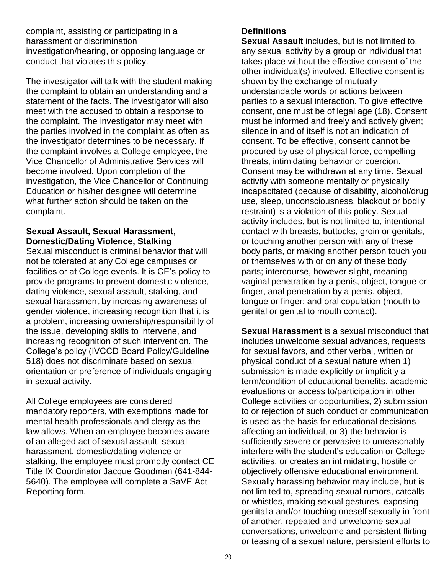complaint, assisting or participating in a harassment or discrimination investigation/hearing, or opposing language or conduct that violates this policy.

The investigator will talk with the student making the complaint to obtain an understanding and a statement of the facts. The investigator will also meet with the accused to obtain a response to the complaint. The investigator may meet with the parties involved in the complaint as often as the investigator determines to be necessary. If the complaint involves a College employee, the Vice Chancellor of Administrative Services will become involved. Upon completion of the investigation, the Vice Chancellor of Continuing Education or his/her designee will determine what further action should be taken on the complaint.

#### <span id="page-19-0"></span>**Sexual Assault, Sexual Harassment, Domestic/Dating Violence, Stalking**

Sexual misconduct is criminal behavior that will not be tolerated at any College campuses or facilities or at College events. It is CE's policy to provide programs to prevent domestic violence, dating violence, sexual assault, stalking, and sexual harassment by increasing awareness of gender violence, increasing recognition that it is a problem, increasing ownership/responsibility of the issue, developing skills to intervene, and increasing recognition of such intervention. The College's policy (IVCCD Board Policy/Guideline 518) does not discriminate based on sexual orientation or preference of individuals engaging in sexual activity.

All College employees are considered mandatory reporters, with exemptions made for mental health professionals and clergy as the law allows. When an employee becomes aware of an alleged act of sexual assault, sexual harassment, domestic/dating violence or stalking, the employee must promptly contact CE Title IX Coordinator Jacque Goodman (641-844- 5640). The employee will complete a SaVE Act Reporting form.

#### **Definitions**

**Sexual Assault** includes, but is not limited to, any sexual activity by a group or individual that takes place without the effective consent of the other individual(s) involved. Effective consent is shown by the exchange of mutually understandable words or actions between parties to a sexual interaction. To give effective consent, one must be of legal age (18). Consent must be informed and freely and actively given; silence in and of itself is not an indication of consent. To be effective, consent cannot be procured by use of physical force, compelling threats, intimidating behavior or coercion. Consent may be withdrawn at any time. Sexual activity with someone mentally or physically incapacitated (because of disability, alcohol/drug use, sleep, unconsciousness, blackout or bodily restraint) is a violation of this policy. Sexual activity includes, but is not limited to, intentional contact with breasts, buttocks, groin or genitals, or touching another person with any of these body parts, or making another person touch you or themselves with or on any of these body parts; intercourse, however slight, meaning vaginal penetration by a penis, object, tongue or finger, anal penetration by a penis, object, tongue or finger; and oral copulation (mouth to genital or genital to mouth contact).

**Sexual Harassment** is a sexual misconduct that includes unwelcome sexual advances, requests for sexual favors, and other verbal, written or physical conduct of a sexual nature when 1) submission is made explicitly or implicitly a term/condition of educational benefits, academic evaluations or access to/participation in other College activities or opportunities, 2) submission to or rejection of such conduct or communication is used as the basis for educational decisions affecting an individual, or 3) the behavior is sufficiently severe or pervasive to unreasonably interfere with the student's education or College activities, or creates an intimidating, hostile or objectively offensive educational environment. Sexually harassing behavior may include, but is not limited to, spreading sexual rumors, catcalls or whistles, making sexual gestures, exposing genitalia and/or touching oneself sexually in front of another, repeated and unwelcome sexual conversations, unwelcome and persistent flirting or teasing of a sexual nature, persistent efforts to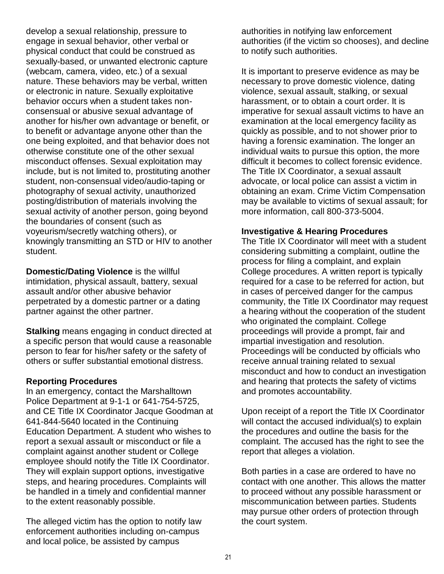develop a sexual relationship, pressure to engage in sexual behavior, other verbal or physical conduct that could be construed as sexually-based, or unwanted electronic capture (webcam, camera, video, etc.) of a sexual nature. These behaviors may be verbal, written or electronic in nature. Sexually exploitative behavior occurs when a student takes nonconsensual or abusive sexual advantage of another for his/her own advantage or benefit, or to benefit or advantage anyone other than the one being exploited, and that behavior does not otherwise constitute one of the other sexual misconduct offenses. Sexual exploitation may include, but is not limited to, prostituting another student, non-consensual video/audio-taping or photography of sexual activity, unauthorized posting/distribution of materials involving the sexual activity of another person, going beyond the boundaries of consent (such as voyeurism/secretly watching others), or knowingly transmitting an STD or HIV to another student.

**Domestic/Dating Violence** is the willful intimidation, physical assault, battery, sexual assault and/or other abusive behavior perpetrated by a domestic partner or a dating partner against the other partner.

**Stalking** means engaging in conduct directed at a specific person that would cause a reasonable person to fear for his/her safety or the safety of others or suffer substantial emotional distress.

#### **Reporting Procedures**

In an emergency, contact the Marshalltown Police Department at 9-1-1 or 641-754-5725, and CE Title IX Coordinator Jacque Goodman at 641-844-5640 located in the Continuing Education Department. A student who wishes to report a sexual assault or misconduct or file a complaint against another student or College employee should notify the Title IX Coordinator. They will explain support options, investigative steps, and hearing procedures. Complaints will be handled in a timely and confidential manner to the extent reasonably possible.

The alleged victim has the option to notify law enforcement authorities including on-campus and local police, be assisted by campus

authorities in notifying law enforcement authorities (if the victim so chooses), and decline to notify such authorities.

It is important to preserve evidence as may be necessary to prove domestic violence, dating violence, sexual assault, stalking, or sexual harassment, or to obtain a court order. It is imperative for sexual assault victims to have an examination at the local emergency facility as quickly as possible, and to not shower prior to having a forensic examination. The longer an individual waits to pursue this option, the more difficult it becomes to collect forensic evidence. The Title IX Coordinator, a sexual assault advocate, or local police can assist a victim in obtaining an exam. Crime Victim Compensation may be available to victims of sexual assault; for more information, call 800-373-5004.

#### **Investigative & Hearing Procedures**

The Title IX Coordinator will meet with a student considering submitting a complaint, outline the process for filing a complaint, and explain College procedures. A written report is typically required for a case to be referred for action, but in cases of perceived danger for the campus community, the Title IX Coordinator may request a hearing without the cooperation of the student who originated the complaint. College proceedings will provide a prompt, fair and impartial investigation and resolution. Proceedings will be conducted by officials who receive annual training related to sexual misconduct and how to conduct an investigation and hearing that protects the safety of victims and promotes accountability.

Upon receipt of a report the Title IX Coordinator will contact the accused individual(s) to explain the procedures and outline the basis for the complaint. The accused has the right to see the report that alleges a violation.

Both parties in a case are ordered to have no contact with one another. This allows the matter to proceed without any possible harassment or miscommunication between parties. Students may pursue other orders of protection through the court system.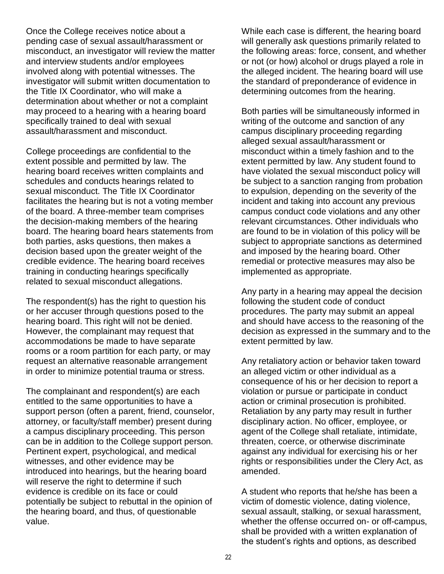Once the College receives notice about a pending case of sexual assault/harassment or misconduct, an investigator will review the matter and interview students and/or employees involved along with potential witnesses. The investigator will submit written documentation to the Title IX Coordinator, who will make a determination about whether or not a complaint may proceed to a hearing with a hearing board specifically trained to deal with sexual assault/harassment and misconduct.

College proceedings are confidential to the extent possible and permitted by law. The hearing board receives written complaints and schedules and conducts hearings related to sexual misconduct. The Title IX Coordinator facilitates the hearing but is not a voting member of the board. A three-member team comprises the decision-making members of the hearing board. The hearing board hears statements from both parties, asks questions, then makes a decision based upon the greater weight of the credible evidence. The hearing board receives training in conducting hearings specifically related to sexual misconduct allegations.

The respondent(s) has the right to question his or her accuser through questions posed to the hearing board. This right will not be denied. However, the complainant may request that accommodations be made to have separate rooms or a room partition for each party, or may request an alternative reasonable arrangement in order to minimize potential trauma or stress.

The complainant and respondent(s) are each entitled to the same opportunities to have a support person (often a parent, friend, counselor, attorney, or faculty/staff member) present during a campus disciplinary proceeding. This person can be in addition to the College support person. Pertinent expert, psychological, and medical witnesses, and other evidence may be introduced into hearings, but the hearing board will reserve the right to determine if such evidence is credible on its face or could potentially be subject to rebuttal in the opinion of the hearing board, and thus, of questionable value.

While each case is different, the hearing board will generally ask questions primarily related to the following areas: force, consent, and whether or not (or how) alcohol or drugs played a role in the alleged incident. The hearing board will use the standard of preponderance of evidence in determining outcomes from the hearing.

Both parties will be simultaneously informed in writing of the outcome and sanction of any campus disciplinary proceeding regarding alleged sexual assault/harassment or misconduct within a timely fashion and to the extent permitted by law. Any student found to have violated the sexual misconduct policy will be subject to a sanction ranging from probation to expulsion, depending on the severity of the incident and taking into account any previous campus conduct code violations and any other relevant circumstances. Other individuals who are found to be in violation of this policy will be subject to appropriate sanctions as determined and imposed by the hearing board. Other remedial or protective measures may also be implemented as appropriate.

Any party in a hearing may appeal the decision following the student code of conduct procedures. The party may submit an appeal and should have access to the reasoning of the decision as expressed in the summary and to the extent permitted by law.

Any retaliatory action or behavior taken toward an alleged victim or other individual as a consequence of his or her decision to report a violation or pursue or participate in conduct action or criminal prosecution is prohibited. Retaliation by any party may result in further disciplinary action. No officer, employee, or agent of the College shall retaliate, intimidate, threaten, coerce, or otherwise discriminate against any individual for exercising his or her rights or responsibilities under the Clery Act, as amended.

A student who reports that he/she has been a victim of domestic violence, dating violence, sexual assault, stalking, or sexual harassment, whether the offense occurred on- or off-campus, shall be provided with a written explanation of the student's rights and options, as described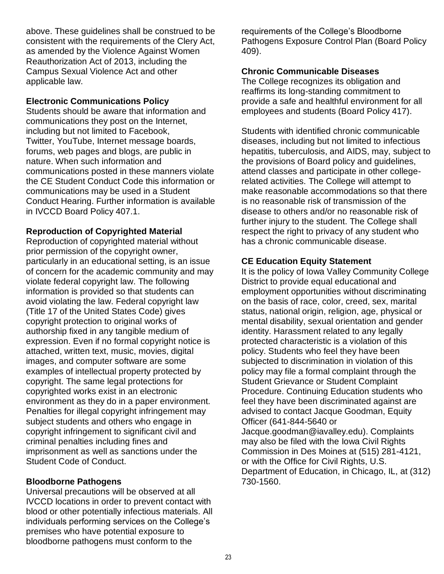above. These guidelines shall be construed to be consistent with the requirements of the Clery Act, as amended by the Violence Against Women Reauthorization Act of 2013, including the Campus Sexual Violence Act and other applicable law.

#### <span id="page-22-0"></span>**Electronic Communications Policy**

Students should be aware that information and communications they post on the Internet, including but not limited to Facebook, Twitter, YouTube, Internet message boards, forums, web pages and blogs, are public in nature. When such information and communications posted in these manners violate the CE Student Conduct Code this information or communications may be used in a Student Conduct Hearing. Further information is available in IVCCD Board Policy 407.1.

#### <span id="page-22-1"></span>**Reproduction of Copyrighted Material**

Reproduction of copyrighted material without prior permission of the copyright owner, particularly in an educational setting, is an issue of concern for the academic community and may violate federal copyright law. The following information is provided so that students can avoid violating the law. Federal copyright law (Title 17 of the United States Code) gives copyright protection to original works of authorship fixed in any tangible medium of expression. Even if no formal copyright notice is attached, written text, music, movies, digital images, and computer software are some examples of intellectual property protected by copyright. The same legal protections for copyrighted works exist in an electronic environment as they do in a paper environment. Penalties for illegal copyright infringement may subject students and others who engage in copyright infringement to significant civil and criminal penalties including fines and imprisonment as well as sanctions under the Student Code of Conduct.

#### <span id="page-22-2"></span>**Bloodborne Pathogens**

<span id="page-22-5"></span>Universal precautions will be observed at all IVCCD locations in order to prevent contact with blood or other potentially infectious materials. All individuals performing services on the College's premises who have potential exposure to bloodborne pathogens must conform to the

requirements of the College's Bloodborne Pathogens Exposure Control Plan (Board Policy 409).

#### <span id="page-22-3"></span>**Chronic Communicable Diseases**

The College recognizes its obligation and reaffirms its long-standing commitment to provide a safe and healthful environment for all employees and students (Board Policy 417).

Students with identified chronic communicable diseases, including but not limited to infectious hepatitis, tuberculosis, and AIDS, may, subject to the provisions of Board policy and guidelines, attend classes and participate in other collegerelated activities. The College will attempt to make reasonable accommodations so that there is no reasonable risk of transmission of the disease to others and/or no reasonable risk of further injury to the student. The College shall respect the right to privacy of any student who has a chronic communicable disease.

#### <span id="page-22-4"></span>**CE Education Equity Statement**

It is the policy of Iowa Valley Community College District to provide equal educational and employment opportunities without discriminating on the basis of race, color, creed, sex, marital status, national origin, religion, age, physical or mental disability, sexual orientation and gender identity. Harassment related to any legally protected characteristic is a violation of this policy. Students who feel they have been subjected to discrimination in violation of this policy may file a formal complaint through the Student Grievance or Student Complaint Procedure. Continuing Education students who feel they have been discriminated against are advised to contact Jacque Goodman, Equity Officer (641-844-5640 or Jacque.goodman@iavalley.edu). Complaints may also be filed with the Iowa Civil Rights Commission in Des Moines at (515) 281-4121, or with the Office for Civil Rights, U.S. Department of Education, in Chicago, IL, at (312) 730-1560.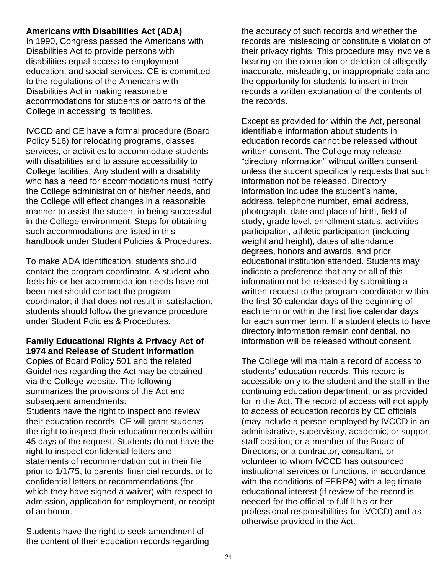#### **Americans with Disabilities Act (ADA)**

In 1990, Congress passed the Americans with Disabilities Act to provide persons with disabilities equal access to employment, education, and social services. CE is committed to the regulations of the Americans with Disabilities Act in making reasonable accommodations for students or patrons of the College in accessing its facilities.

IVCCD and CE have a formal procedure (Board Policy 516) for relocating programs, classes, services, or activities to accommodate students with disabilities and to assure accessibility to College facilities. Any student with a disability who has a need for accommodations must notify the College administration of his/her needs, and the College will effect changes in a reasonable manner to assist the student in being successful in the College environment. Steps for obtaining such accommodations are listed in this handbook under Student Policies & Procedures.

To make ADA identification, students should contact the program coordinator. A student who feels his or her accommodation needs have not been met should contact the program coordinator; if that does not result in satisfaction, students should follow the grievance procedure under Student Policies & Procedures.

#### <span id="page-23-0"></span>**Family Educational Rights & Privacy Act of 1974 and Release of Student Information**

Copies of Board Policy 501 and the related Guidelines regarding the Act may be obtained via the College website. The following summarizes the provisions of the Act and subsequent amendments:

Students have the right to inspect and review their education records. CE will grant students the right to inspect their education records within 45 days of the request. Students do not have the right to inspect confidential letters and statements of recommendation put in their file prior to 1/1/75, to parents' financial records, or to confidential letters or recommendations (for which they have signed a waiver) with respect to admission, application for employment, or receipt of an honor.

Students have the right to seek amendment of the content of their education records regarding the accuracy of such records and whether the records are misleading or constitute a violation of their privacy rights. This procedure may involve a hearing on the correction or deletion of allegedly inaccurate, misleading, or inappropriate data and the opportunity for students to insert in their records a written explanation of the contents of the records.

Except as provided for within the Act, personal identifiable information about students in education records cannot be released without written consent. The College may release "directory information" without written consent unless the student specifically requests that such information not be released. Directory information includes the student's name, address, telephone number, email address, photograph, date and place of birth, field of study, grade level, enrollment status, activities participation, athletic participation (including weight and height), dates of attendance, degrees, honors and awards, and prior educational institution attended. Students may indicate a preference that any or all of this information not be released by submitting a written request to the program coordinator within the first 30 calendar days of the beginning of each term or within the first five calendar days for each summer term. If a student elects to have directory information remain confidential, no information will be released without consent.

The College will maintain a record of access to students' education records. This record is accessible only to the student and the staff in the continuing education department, or as provided for in the Act. The record of access will not apply to access of education records by CE officials (may include a person employed by IVCCD in an administrative, supervisory, academic, or support staff position; or a member of the Board of Directors; or a contractor, consultant, or volunteer to whom IVCCD has outsourced institutional services or functions, in accordance with the conditions of FERPA) with a legitimate educational interest (if review of the record is needed for the official to fulfill his or her professional responsibilities for IVCCD) and as otherwise provided in the Act.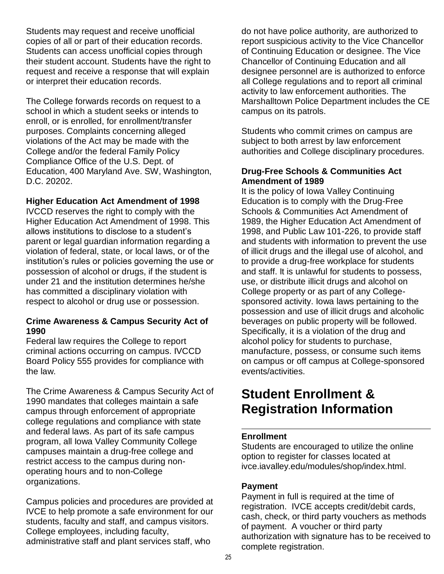Students may request and receive unofficial copies of all or part of their education records. Students can access unofficial copies through their student account. Students have the right to request and receive a response that will explain or interpret their education records.

The College forwards records on request to a school in which a student seeks or intends to enroll, or is enrolled, for enrollment/transfer purposes. Complaints concerning alleged violations of the Act may be made with the College and/or the federal Family Policy Compliance Office of the U.S. Dept. of Education, 400 Maryland Ave. SW, Washington, D.C. 20202.

#### <span id="page-24-0"></span>**Higher Education Act Amendment of 1998**

IVCCD reserves the right to comply with the Higher Education Act Amendment of 1998. This allows institutions to disclose to a student's parent or legal guardian information regarding a violation of federal, state, or local laws, or of the institution's rules or policies governing the use or possession of alcohol or drugs, if the student is under 21 and the institution determines he/she has committed a disciplinary violation with respect to alcohol or drug use or possession.

#### <span id="page-24-1"></span>**Crime Awareness & Campus Security Act of 1990**

Federal law requires the College to report criminal actions occurring on campus. IVCCD Board Policy 555 provides for compliance with the law.

The Crime Awareness & Campus Security Act of 1990 mandates that colleges maintain a safe campus through enforcement of appropriate college regulations and compliance with state and federal laws. As part of its safe campus program, all Iowa Valley Community College campuses maintain a drug-free college and restrict access to the campus during nonoperating hours and to non-College organizations.

Campus policies and procedures are provided at IVCE to help promote a safe environment for our students, faculty and staff, and campus visitors. College employees, including faculty, administrative staff and plant services staff, who

do not have police authority, are authorized to report suspicious activity to the Vice Chancellor of Continuing Education or designee. The Vice Chancellor of Continuing Education and all designee personnel are is authorized to enforce all College regulations and to report all criminal activity to law enforcement authorities. The Marshalltown Police Department includes the CE campus on its patrols.

Students who commit crimes on campus are subject to both arrest by law enforcement authorities and College disciplinary procedures.

#### <span id="page-24-2"></span>**Drug-Free Schools & Communities Act Amendment of 1989**

It is the policy of Iowa Valley Continuing Education is to comply with the Drug-Free Schools & Communities Act Amendment of 1989, the Higher Education Act Amendment of 1998, and Public Law 101-226, to provide staff and students with information to prevent the use of illicit drugs and the illegal use of alcohol, and to provide a drug-free workplace for students and staff. It is unlawful for students to possess, use, or distribute illicit drugs and alcohol on College property or as part of any Collegesponsored activity. Iowa laws pertaining to the possession and use of illicit drugs and alcoholic beverages on public property will be followed. Specifically, it is a violation of the drug and alcohol policy for students to purchase, manufacture, possess, or consume such items on campus or off campus at College-sponsored events/activities.

# <span id="page-24-3"></span>**Student Enrollment & Registration Information**

#### <span id="page-24-4"></span>**Enrollment**

Students are encouraged to utilize the online option to register for classes located at [ivce.iavalley.edu/modules/shop/index.html.](https://ivce.iavalley.edu/modules/shop/index.html)

#### **Payment**

Payment in full is required at the time of registration. IVCE accepts credit/debit cards, cash, check, or third party vouchers as methods of payment. A voucher or third party authorization with signature has to be received to complete registration.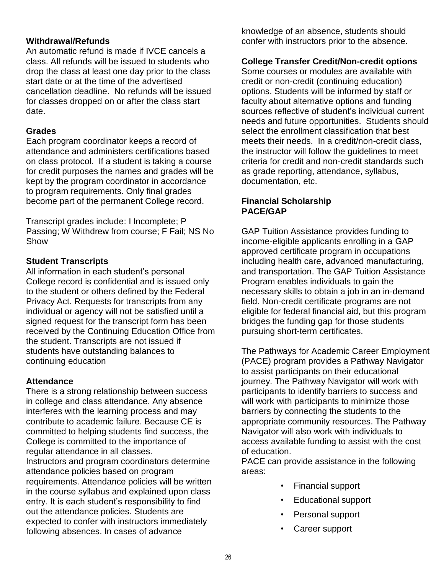#### <span id="page-25-0"></span>**Withdrawal/Refunds**

An automatic refund is made if IVCE cancels a class. All refunds will be issued to students who drop the class at least one day prior to the class start date or at the time of the advertised cancellation deadline. No refunds will be issued for classes dropped on or after the class start date.

#### **Grades**

Each program coordinator keeps a record of attendance and administers certifications based on class protocol. If a student is taking a course for credit purposes the names and grades will be kept by the program coordinator in accordance to program requirements. Only final grades become part of the permanent College record.

Transcript grades include: I Incomplete; P Passing; W Withdrew from course; F Fail; NS No Show

#### **Student Transcripts**

All information in each student's personal College record is confidential and is issued only to the student or others defined by the Federal Privacy Act. Requests for transcripts from any individual or agency will not be satisfied until a signed request for the transcript form has been received by the Continuing Education Office from the student. Transcripts are not issued if students have outstanding balances to continuing education

#### <span id="page-25-1"></span>**Attendance**

There is a strong relationship between success in college and class attendance. Any absence interferes with the learning process and may contribute to academic failure. Because CE is committed to helping students find success, the College is committed to the importance of regular attendance in all classes. Instructors and program coordinators determine attendance policies based on program requirements. Attendance policies will be written in the course syllabus and explained upon class entry. It is each student's responsibility to find out the attendance policies. Students are expected to confer with instructors immediately following absences. In cases of advance

knowledge of an absence, students should confer with instructors prior to the absence.

#### <span id="page-25-2"></span>**College Transfer Credit/Non-credit options**

Some courses or modules are available with credit or non-credit (continuing education) options. Students will be informed by staff or faculty about alternative options and funding sources reflective of student's individual current needs and future opportunities. Students should select the enrollment classification that best meets their needs. In a credit/non-credit class, the instructor will follow the guidelines to meet criteria for credit and non-credit standards such as grade reporting, attendance, syllabus, documentation, etc.

#### **Financial Scholarship PACE/GAP**

GAP Tuition Assistance provides funding to income-eligible applicants enrolling in a GAP approved certificate program in occupations including health care, advanced manufacturing, and transportation. The GAP Tuition Assistance Program enables individuals to gain the necessary skills to obtain a job in an in-demand field. Non-credit certificate programs are not eligible for federal financial aid, but this program bridges the funding gap for those students pursuing short-term certificates.

The Pathways for Academic Career Employment (PACE) program provides a Pathway Navigator to assist participants on their educational journey. The Pathway Navigator will work with participants to identify barriers to success and will work with participants to minimize those barriers by connecting the students to the appropriate community resources. The Pathway Navigator will also work with individuals to access available funding to assist with the cost of education.

PACE can provide assistance in the following areas:

- Financial support
- Educational support
- Personal support
- Career support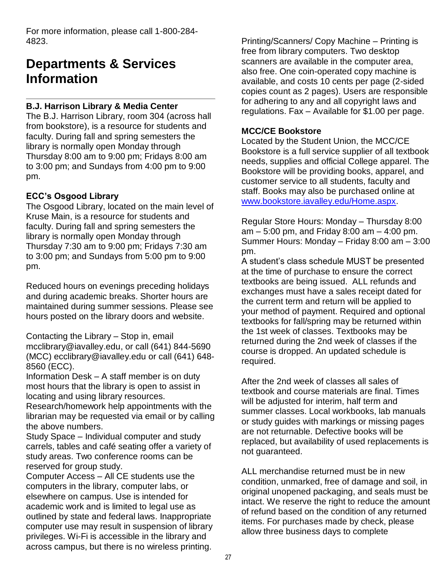For more information, please call 1-800-284- 4823.

# <span id="page-26-0"></span>**Departments & Services Information**

#### <span id="page-26-1"></span>**B.J. Harrison Library & Media Center**

The B.J. Harrison Library, room 304 (across hall from bookstore), is a resource for students and faculty. During fall and spring semesters the library is normally open Monday through Thursday 8:00 am to 9:00 pm; Fridays 8:00 am to 3:00 pm; and Sundays from 4:00 pm to 9:00 pm.

#### **ECC's Osgood Library**

The Osgood Library, located on the main level of Kruse Main, is a resource for students and faculty. During fall and spring semesters the library is normally open Monday through Thursday 7:30 am to 9:00 pm; Fridays 7:30 am to 3:00 pm; and Sundays from 5:00 pm to 9:00 pm.

Reduced hours on evenings preceding holidays and during academic breaks. Shorter hours are maintained during summer sessions. Please see hours posted on the library doors and website.

Contacting the Library – Stop in, email [mcclibrary@iavalley.edu,](mailto:mcclibrary@iavalley.edu) or call (641) 844-5690 (MCC) [ecclibrary@iavalley.edu](mailto:ecclibrary@iavalley.edu) or call (641) 648- 8560 (ECC).

Information Desk – A staff member is on duty most hours that the library is open to assist in locating and using library resources.

Research/homework help appointments with the librarian may be requested via email or by calling the above numbers.

Study Space – Individual computer and study carrels, tables and café seating offer a variety of study areas. Two conference rooms can be reserved for group study.

Computer Access – All CE students use the computers in the library, computer labs, or elsewhere on campus. Use is intended for academic work and is limited to legal use as outlined by state and federal laws. Inappropriate computer use may result in suspension of library privileges. Wi-Fi is accessible in the library and across campus, but there is no wireless printing.

Printing/Scanners/ Copy Machine – Printing is free from library computers. Two desktop scanners are available in the computer area, also free. One coin-operated copy machine is available, and costs 10 cents per page (2-sided copies count as 2 pages). Users are responsible for adhering to any and all copyright laws and regulations. Fax – Available for \$1.00 per page.

#### <span id="page-26-2"></span>**MCC/CE Bookstore**

Located by the Student Union, the MCC/CE Bookstore is a full service supplier of all textbook needs, supplies and official College apparel. The Bookstore will be providing books, apparel, and customer service to all students, faculty and staff. Books may also be purchased online at [www.bookstore.iavalley.edu/Home.aspx.](http://www.bookstore.iavalley.edu/Home.aspx)

Regular Store Hours: Monday – Thursday 8:00 am – 5:00 pm, and Friday 8:00 am – 4:00 pm. Summer Hours: Monday – Friday 8:00 am – 3:00 pm.

A student's class schedule MUST be presented at the time of purchase to ensure the correct textbooks are being issued. ALL refunds and exchanges must have a sales receipt dated for the current term and return will be applied to your method of payment. Required and optional textbooks for fall/spring may be returned within the 1st week of classes. Textbooks may be returned during the 2nd week of classes if the course is dropped. An updated schedule is required.

After the 2nd week of classes all sales of textbook and course materials are final. Times will be adjusted for interim, half term and summer classes. Local workbooks, lab manuals or study guides with markings or missing pages are not returnable. Defective books will be replaced, but availability of used replacements is not guaranteed.

ALL merchandise returned must be in new condition, unmarked, free of damage and soil, in original unopened packaging, and seals must be intact. We reserve the right to reduce the amount of refund based on the condition of any returned items. For purchases made by check, please allow three business days to complete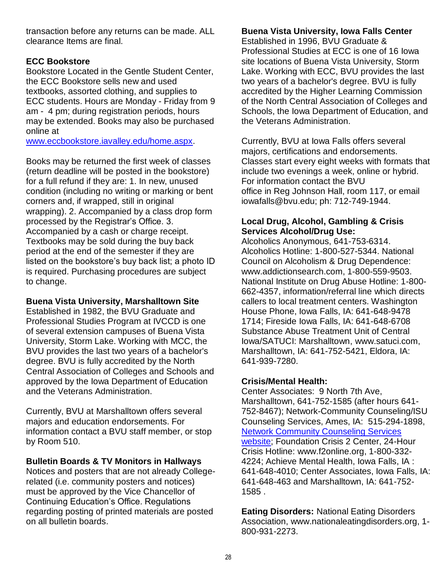transaction before any returns can be made. ALL clearance Items are final.

#### **ECC Bookstore**

Bookstore Located in the Gentle Student Center, the ECC Bookstore sells new and used textbooks, assorted clothing, and supplies to ECC students. Hours are Monday - Friday from 9 am - 4 pm; during registration periods, hours may be extended. Books may also be purchased online at

[www.eccbookstore.iavalley.edu/home.aspx.](http://www.eccbookstore.iavalley.edu/home.aspx)

Books may be returned the first week of classes (return deadline will be posted in the bookstore) for a full refund if they are: 1. In new, unused condition (including no writing or marking or bent corners and, if wrapped, still in original wrapping). 2. Accompanied by a class drop form processed by the Registrar's Office. 3. Accompanied by a cash or charge receipt. Textbooks may be sold during the buy back period at the end of the semester if they are listed on the bookstore's buy back list; a photo ID is required. Purchasing procedures are subject to change.

#### <span id="page-27-0"></span>**Buena Vista University, Marshalltown Site**

Established in 1982, the BVU Graduate and Professional Studies Program at IVCCD is one of several extension campuses of Buena Vista University, Storm Lake. Working with MCC, the BVU provides the last two years of a bachelor's degree. BVU is fully accredited by the North Central Association of Colleges and Schools and approved by the Iowa Department of Education and the Veterans Administration.

Currently, BVU at Marshalltown offers several majors and education endorsements. For information contact a BVU staff member, or stop by Room 510.

### <span id="page-27-1"></span>**Bulletin Boards & TV Monitors in Hallways**

Notices and posters that are not already Collegerelated (i.e. community posters and notices) must be approved by the Vice Chancellor of Continuing Education's Office. Regulations regarding posting of printed materials are posted on all bulletin boards.

## **Buena Vista University, Iowa Falls Center**

Established in 1996, BVU Graduate & Professional Studies at ECC is one of 16 Iowa site locations of Buena Vista University, Storm Lake. Working with ECC, BVU provides the last two years of a bachelor's degree. BVU is fully accredited by the Higher Learning Commission of the North Central Association of Colleges and Schools, the Iowa Department of Education, and the Veterans Administration.

Currently, BVU at Iowa Falls offers several majors, certifications and endorsements. Classes start every eight weeks with formats that include two evenings a week, online or hybrid. For information contact the BVU office in Reg Johnson Hall, room 117, or email iowafalls@bvu.edu; ph: 712-749-1944.

#### <span id="page-27-2"></span>**Local Drug, Alcohol, Gambling & Crisis Services Alcohol/Drug Use:**

Alcoholics Anonymous, 641-753-6314. Alcoholics Hotline: 1-800-527-5344. National Council on Alcoholism & Drug Dependence: [www.addictionsearch.com,](http://www.addictionsearch.com/) 1-800-559-9503. National Institute on Drug Abuse Hotline: 1-800- 662-4357, information/referral line which directs callers to local treatment centers. Washington House Phone, Iowa Falls, IA: 641-648-9478 1714; Fireside Iowa Falls, IA: 641-648-6708 Substance Abuse Treatment Unit of Central Iowa/SATUCI: Marshalltown, [www.satuci.com,](http://www.satuci.com/) Marshalltown, IA: 641-752-5421, Eldora, IA: 641-939-7280.

### **Crisis/Mental Health:**

Center Associates: 9 North 7th Ave, Marshalltown, 641-752-1585 (after hours 641- 752-8467); Network-Community Counseling/ISU Counseling Services, Ames, IA: 515-294-1898, [Network Community Counseling Services](http://clinic.psych.iastate.edu/)  [website;](http://clinic.psych.iastate.edu/) Foundation Crisis 2 Center, 24-Hour Crisis Hotline: [www.f2online.org,](http://www.f2online.org/) 1-800-332- 4224; Achieve Mental Health, Iowa Falls, IA : 641-648-4010; Center Associates, Iowa Falls, IA: 641-648-463 and Marshalltown, IA: 641-752- 1585 .

**Eating Disorders:** National Eating Disorders Association, [www.nationaleatingdisorders.org,](http://www.nationaleatingdisorders.org/) 1- 800-931-2273.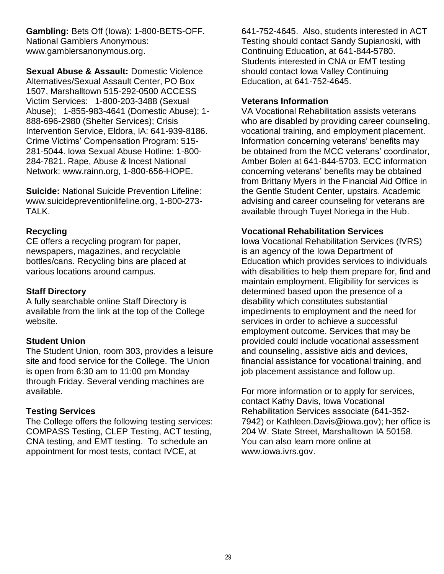**Gambling:** Bets Off (Iowa): 1-800-BETS-OFF. National Gamblers Anonymous: [www.gamblersanonymous.org.](http://www.gamblersanonymous.org/)

**Sexual Abuse & Assault:** Domestic Violence Alternatives/Sexual Assault Center, PO Box 1507, Marshalltown 515-292-0500 ACCESS Victim Services: 1-800-203-3488 (Sexual Abuse); 1-855-983-4641 (Domestic Abuse); 1- 888-696-2980 (Shelter Services); Crisis Intervention Service, Eldora, IA: 641-939-8186. Crime Victims' Compensation Program: 515- 281-5044. Iowa Sexual Abuse Hotline: 1-800- 284-7821. Rape, Abuse & Incest National Network: [www.rainn.org,](http://www.rainn.org/) 1-800-656-HOPE.

**Suicide:** National Suicide Prevention Lifeline: [www.suicidepreventionlifeline.org,](http://www.suicidepreventionlifeline.org/) 1-800-273- TALK.

#### <span id="page-28-0"></span>**Recycling**

CE offers a recycling program for paper, newspapers, magazines, and recyclable bottles/cans. Recycling bins are placed at various locations around campus.

#### <span id="page-28-1"></span>**Staff Directory**

A fully searchable online [Staff Directory](http://www.iavalley.edu/directory/) is available from the link at the top of the College website.

#### <span id="page-28-2"></span>**Student Union**

The Student Union, room 303, provides a leisure site and food service for the College. The Union is open from 6:30 am to 11:00 pm Monday through Friday. Several vending machines are available.

#### <span id="page-28-3"></span>**Testing Services**

The College offers the following testing services: COMPASS Testing, CLEP Testing, ACT testing, CNA testing, and EMT testing. To schedule an appointment for most tests, contact IVCE, at

641-752-4645. Also, students interested in ACT Testing should contact Sandy Supianoski, with Continuing Education, at 641-844-5780. Students interested in CNA or EMT testing should contact Iowa Valley Continuing Education, at 641-752-4645.

#### <span id="page-28-4"></span>**Veterans Information**

VA Vocational Rehabilitation assists veterans who are disabled by providing career counseling, vocational training, and employment placement. Information concerning veterans' benefits may be obtained from the MCC veterans' coordinator, Amber Bolen at 641-844-5703. ECC information concerning veterans' benefits may be obtained from Brittany Myers in the Financial Aid Office in the Gentle Student Center, upstairs. Academic advising and career counseling for veterans are available through Tuyet Noriega in the Hub.

#### <span id="page-28-5"></span>**Vocational Rehabilitation Services**

Iowa Vocational Rehabilitation Services (IVRS) is an agency of the Iowa Department of Education which provides services to individuals with disabilities to help them prepare for, find and maintain employment. Eligibility for services is determined based upon the presence of a disability which constitutes substantial impediments to employment and the need for services in order to achieve a successful employment outcome. Services that may be provided could include vocational assessment and counseling, assistive aids and devices, financial assistance for vocational training, and job placement assistance and follow up.

<span id="page-28-6"></span>For more information or to apply for services, contact Kathy Davis, Iowa Vocational Rehabilitation Services associate (641-352- 7942) or [Kathleen.Davis@iowa.gov\)](mailto:Kathleen.Davis@iowa.gov); her office is 204 W. State Street, Marshalltown IA 50158. You can also learn more online at [www.iowa.ivrs.gov.](http://www.iowa.ivrs.gov/)